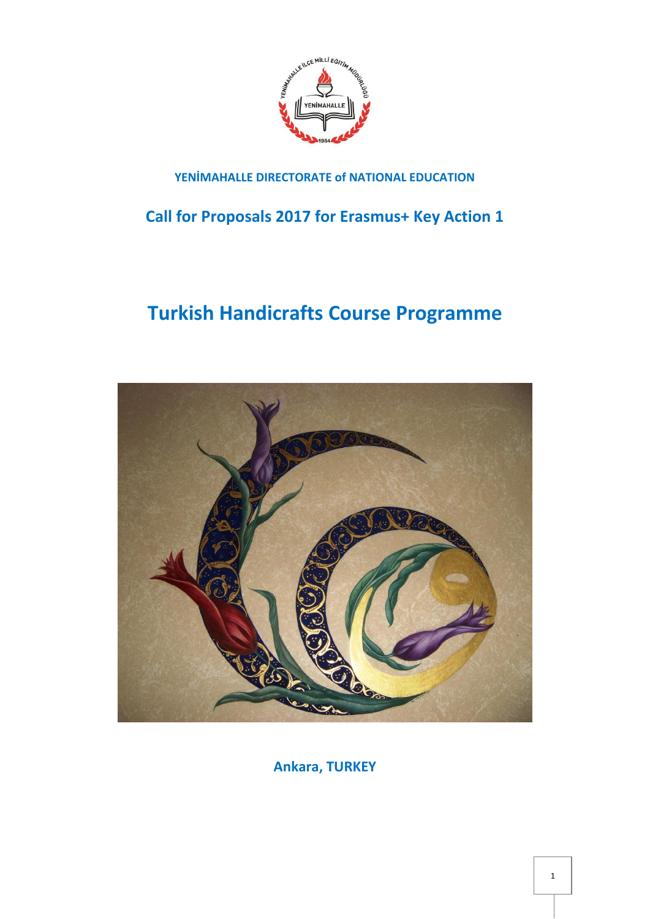

# **YENİMAHALLE DIRECTORATE of NATIONAL EDUCATION**

**Call for Proposals 2017 for Erasmus+ Key Action 1**

# **Turkish Handicrafts Course Programme**



**Ankara, TURKEY**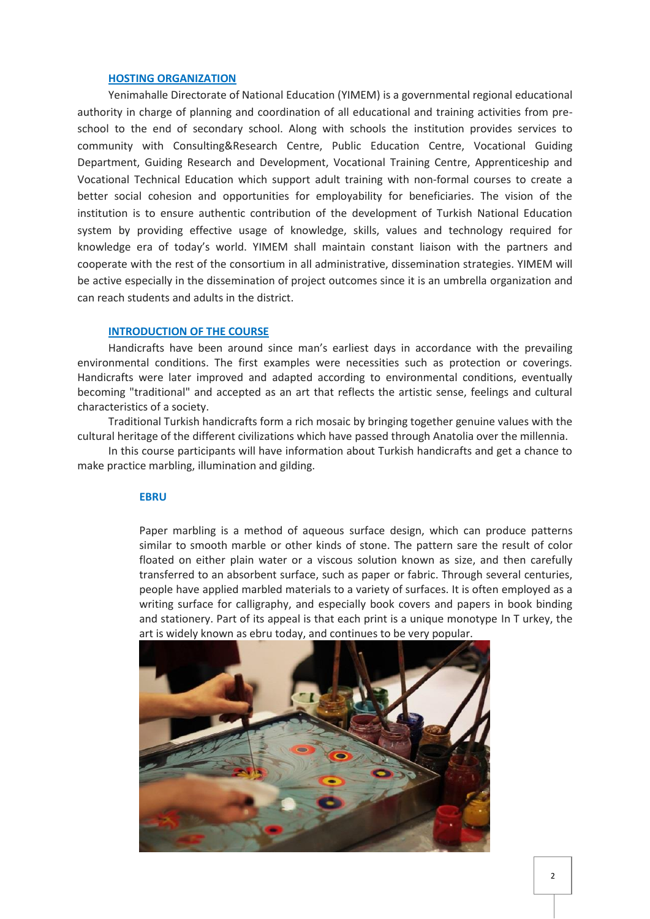## **HOSTING ORGANIZATION**

Yenimahalle Directorate of National Education (YIMEM) is a governmental regional educational authority in charge of planning and coordination of all educational and training activities from preschool to the end of secondary school. Along with schools the institution provides services to community with Consulting&Research Centre, Public Education Centre, Vocational Guiding Department, Guiding Research and Development, Vocational Training Centre, Apprenticeship and Vocational Technical Education which support adult training with non-formal courses to create a better social cohesion and opportunities for employability for beneficiaries. The vision of the institution is to ensure authentic contribution of the development of Turkish National Education system by providing effective usage of knowledge, skills, values and technology required for knowledge era of today's world. YIMEM shall maintain constant liaison with the partners and cooperate with the rest of the consortium in all administrative, dissemination strategies. YIMEM will be active especially in the dissemination of project outcomes since it is an umbrella organization and can reach students and adults in the district.

# **INTRODUCTION OF THE COURSE**

Handicrafts have been around since man's earliest days in accordance with the prevailing environmental conditions. The first examples were necessities such as protection or coverings. Handicrafts were later improved and adapted according to environmental conditions, eventually becoming "traditional" and accepted as an art that reflects the artistic sense, feelings and cultural characteristics of a society.

Traditional Turkish handicrafts form a rich mosaic by bringing together genuine values with the cultural heritage of the different civilizations which have passed through Anatolia over the millennia.

In this course participants will have information about Turkish handicrafts and get a chance to make practice marbling, illumination and gilding.

#### **EBRU**

Paper marbling is a method of aqueous surface design, which can produce patterns similar to smooth [marble](https://en.wikipedia.org/wiki/Marble) or other kinds of stone. The pattern sare the result of color floated on either plain water or a viscous solution known as [size,](https://en.wikipedia.org/wiki/Sizing) and then carefully transferred to an absorbent surface, such as [paper](https://en.wikipedia.org/wiki/Paper) or fabric. Through several centuries, people have applied marbled materials to a variety of surfaces. It is often employed as a writing surface for [calligraphy,](https://en.wikipedia.org/wiki/Calligraphy) and especially book covers and papers in book [binding](https://en.wikipedia.org/wiki/Bookbinding) and [stationery.](https://en.wikipedia.org/wiki/Stationery) Part of its appeal is that each print is a unique [monotype](https://en.wikipedia.org/wiki/Monotype) In T [urkey,](https://en.wikipedia.org/wiki/Turkey) the art is widely known as ebru today, and continues to be very popular.

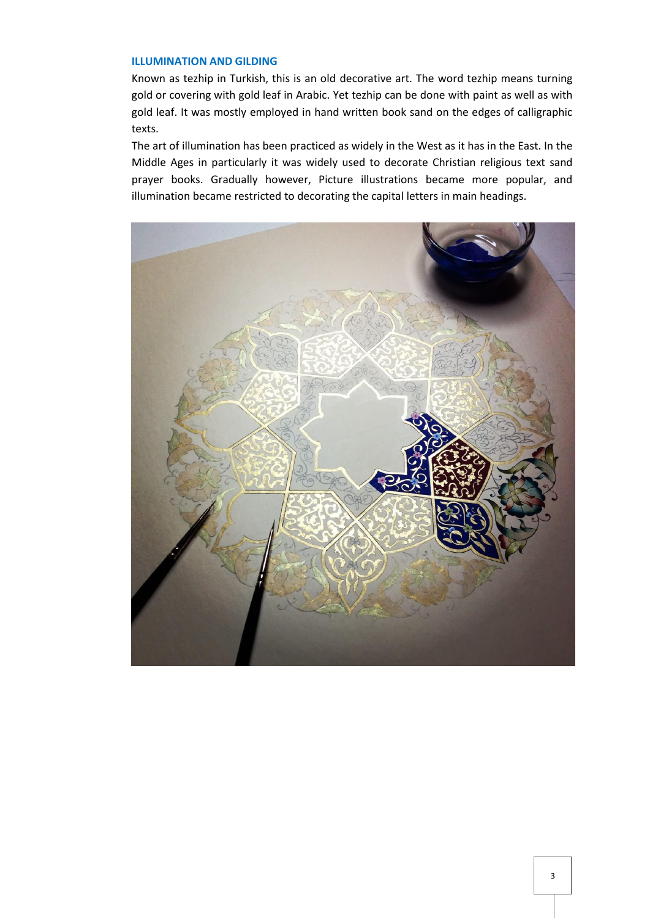# **ILLUMINATION AND GILDING**

Known as tezhip in Turkish, this is an old decorative art. The word tezhip means turning gold or covering with gold leaf in Arabic. Yet tezhip can be done with paint as well as with gold leaf. It was mostly employed in hand written book sand on the edges of calligraphic texts.

The art of illumination has been practiced as widely in the West as it has in the East. In the Middle Ages in particularly it was widely used to decorate Christian religious text sand prayer books. Gradually however, Picture illustrations became more popular, and illumination became restricted to decorating the capital letters in main headings.